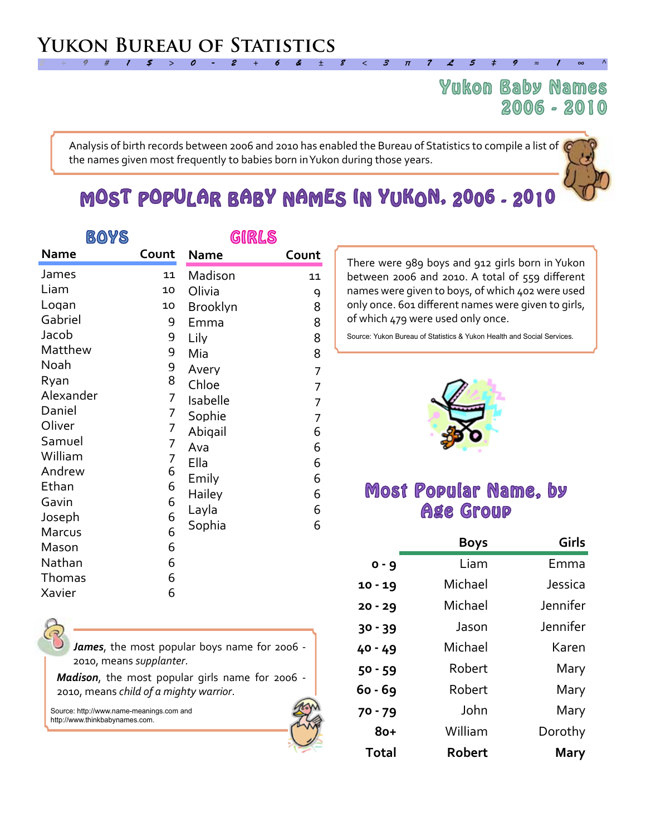## Yukon Baby Names 2006 - 2010

Analysis of birth records between 2006 and 2010 has enabled the Bureau of Statistics to compile a list of the names given most frequently to babies born in Yukon during those years.

*2 ÷ 9 # 1 \$ > 0 - 2 + 6 & ± 8 < 3 π 7 £ 5 ‡ 9 ≈ 1 ∞ ^*

# MOST POPULAR BABY NAMES IN YUKON, 2006 - 2010

| <b>BOYS</b> |       | GIRLS           |       |
|-------------|-------|-----------------|-------|
| <b>Name</b> | Count | <b>Name</b>     | Count |
| James       | 11    | Madison         | 11    |
| Liam        | 10    | Olivia          | 9     |
| Logan       | 10    | <b>Brooklyn</b> | 8     |
| Gabriel     | 9     | Emma            | 8     |
| Jacob       | 9     | Lily            | 8     |
| Matthew     | 9     | Mia             | 8     |
| Noah        | 9     | Avery           | 7     |
| Ryan        | 8     | Chloe           | 7     |
| Alexander   | 7     | Isabelle        | 7     |
| Daniel      | 7     | Sophie          | 7     |
| Oliver      | 7     | Abigail         | 6     |
| Samuel      | 7     | Ava             | 6     |
| William     | 7     | Ella            | 6     |
| Andrew      | 6     | Emily           | 6     |
| Ethan       | 6     | Hailey          | 6     |
| Gavin       | 6     | Layla           | 6     |
| Joseph      | 6     | Sophia          | 6     |
| Marcus      | 6     |                 |       |
| Mason       | 6     |                 |       |
| Nathan      | 6     |                 |       |
| Thomas      | 6     |                 |       |
| Xavier      | 6     |                 |       |

There were 989 boys and 912 girls born in Yukon between 2006 and 2010. A total of 559 different names were given to boys, of which 402 were used only once. 601 different names were given to girls, of which 479 were used only once.

Source: Yukon Bureau of Statistics & Yukon Health and Social Services.



## Most Popular Name, by Age Group

|           | <b>Boys</b> | Girls       |
|-----------|-------------|-------------|
| $0 - 9$   | Liam        | Emma        |
| $10 - 19$ | Michael     | Jessica     |
| $20 - 29$ | Michael     | Jennifer    |
| $30 - 39$ | Jason       | Jennifer    |
| 40 - 49   | Michael     | Karen       |
| $50 - 59$ | Robert      | Mary        |
| 60 - 69   | Robert      | Mary        |
| $70 - 79$ | John        | Mary        |
| $8o+$     | William     | Dorothy     |
| Total     | Robert      | <b>Mary</b> |

*James*, the most popular boys name for 2006 - 2010, means *supplanter*.

*Madison*, the most popular girls name for 2006 - 2010, means *child of a mighty warrior*.

Source: http://www.name-meanings.com and http://www.thinkbabynames.com.